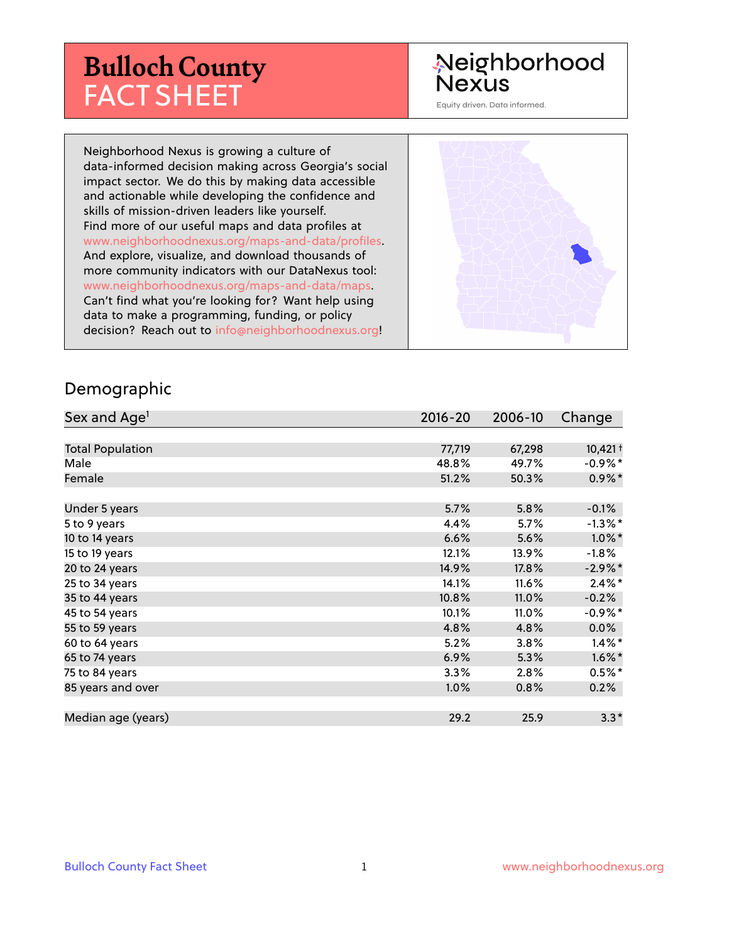# **Bulloch County** FACT SHEET

# Neighborhood **Nexus**

Equity driven. Data informed.

Neighborhood Nexus is growing a culture of data-informed decision making across Georgia's social impact sector. We do this by making data accessible and actionable while developing the confidence and skills of mission-driven leaders like yourself. Find more of our useful maps and data profiles at www.neighborhoodnexus.org/maps-and-data/profiles. And explore, visualize, and download thousands of more community indicators with our DataNexus tool: www.neighborhoodnexus.org/maps-and-data/maps. Can't find what you're looking for? Want help using data to make a programming, funding, or policy decision? Reach out to [info@neighborhoodnexus.org!](mailto:info@neighborhoodnexus.org)



#### Demographic

| Sex and Age <sup>1</sup> | $2016 - 20$ | 2006-10 | Change     |
|--------------------------|-------------|---------|------------|
|                          |             |         |            |
| <b>Total Population</b>  | 77,719      | 67,298  | $10,421 +$ |
| Male                     | 48.8%       | 49.7%   | -0.9%*     |
| Female                   | 51.2%       | 50.3%   | $0.9\%$ *  |
|                          |             |         |            |
| Under 5 years            | 5.7%        | 5.8%    | $-0.1%$    |
| 5 to 9 years             | 4.4%        | 5.7%    | $-1.3\%$ * |
| 10 to 14 years           | 6.6%        | 5.6%    | $1.0\%$ *  |
| 15 to 19 years           | 12.1%       | 13.9%   | $-1.8%$    |
| 20 to 24 years           | 14.9%       | 17.8%   | $-2.9\%$ * |
| 25 to 34 years           | 14.1%       | 11.6%   | $2.4\%$ *  |
| 35 to 44 years           | 10.8%       | 11.0%   | $-0.2%$    |
| 45 to 54 years           | 10.1%       | 11.0%   | $-0.9%$ *  |
| 55 to 59 years           | 4.8%        | 4.8%    | 0.0%       |
| 60 to 64 years           | 5.2%        | 3.8%    | $1.4\%$ *  |
| 65 to 74 years           | 6.9%        | 5.3%    | $1.6\%$ *  |
| 75 to 84 years           | 3.3%        | 2.8%    | $0.5%$ *   |
| 85 years and over        | $1.0\%$     | 0.8%    | 0.2%       |
|                          |             |         |            |
| Median age (years)       | 29.2        | 25.9    | $3.3*$     |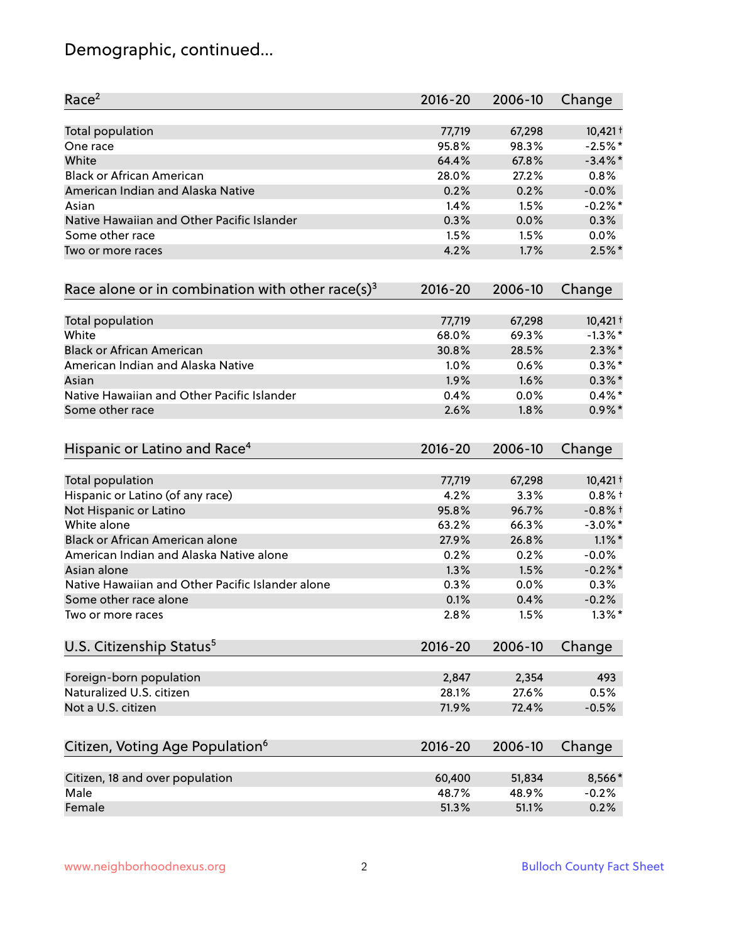# Demographic, continued...

| Race <sup>2</sup>                                   | $2016 - 20$ | 2006-10 | Change     |
|-----------------------------------------------------|-------------|---------|------------|
| Total population                                    | 77,719      | 67,298  | $10,421 +$ |
| One race                                            | 95.8%       | 98.3%   | $-2.5%$ *  |
| White                                               | 64.4%       | 67.8%   | $-3.4\%$ * |
| <b>Black or African American</b>                    | 28.0%       | 27.2%   | 0.8%       |
| American Indian and Alaska Native                   | 0.2%        | 0.2%    | $-0.0%$    |
| Asian                                               | 1.4%        | 1.5%    | $-0.2%$ *  |
| Native Hawaiian and Other Pacific Islander          | 0.3%        | 0.0%    | 0.3%       |
| Some other race                                     | 1.5%        | 1.5%    | 0.0%       |
| Two or more races                                   | 4.2%        | 1.7%    | $2.5\%$ *  |
| Race alone or in combination with other race(s) $3$ | $2016 - 20$ | 2006-10 | Change     |
| Total population                                    | 77,719      | 67,298  | $10,421 +$ |
| White                                               | 68.0%       | 69.3%   | $-1.3\%$ * |
| <b>Black or African American</b>                    | 30.8%       | 28.5%   | $2.3\%$ *  |
| American Indian and Alaska Native                   | 1.0%        | 0.6%    | $0.3\%*$   |
| Asian                                               | 1.9%        | 1.6%    | $0.3\%$ *  |
| Native Hawaiian and Other Pacific Islander          | 0.4%        | 0.0%    | $0.4\%$ *  |
| Some other race                                     | 2.6%        | 1.8%    | $0.9\%$ *  |
| Hispanic or Latino and Race <sup>4</sup>            | $2016 - 20$ | 2006-10 | Change     |
| Total population                                    | 77,719      | 67,298  | $10,421 +$ |
| Hispanic or Latino (of any race)                    | 4.2%        | 3.3%    | $0.8%$ +   |
| Not Hispanic or Latino                              | 95.8%       | 96.7%   | $-0.8%$ +  |
| White alone                                         | 63.2%       | 66.3%   | $-3.0\%$ * |
| Black or African American alone                     | 27.9%       | 26.8%   | $1.1\%$ *  |
| American Indian and Alaska Native alone             | 0.2%        | 0.2%    | $-0.0%$    |
| Asian alone                                         | 1.3%        | 1.5%    | $-0.2%$ *  |
| Native Hawaiian and Other Pacific Islander alone    | 0.3%        | 0.0%    | 0.3%       |
| Some other race alone                               | 0.1%        | 0.4%    | $-0.2%$    |
| Two or more races                                   | 2.8%        | 1.5%    | $1.3\%$ *  |
| U.S. Citizenship Status <sup>5</sup>                | $2016 - 20$ | 2006-10 | Change     |
| Foreign-born population                             | 2,847       | 2,354   | 493        |
| Naturalized U.S. citizen                            | 28.1%       | 27.6%   | 0.5%       |
| Not a U.S. citizen                                  | 71.9%       | 72.4%   | $-0.5%$    |
| Citizen, Voting Age Population <sup>6</sup>         | $2016 - 20$ | 2006-10 | Change     |
|                                                     |             |         |            |
| Citizen, 18 and over population                     | 60,400      | 51,834  | 8,566*     |
| Male                                                | 48.7%       | 48.9%   | $-0.2%$    |
| Female                                              | 51.3%       | 51.1%   | 0.2%       |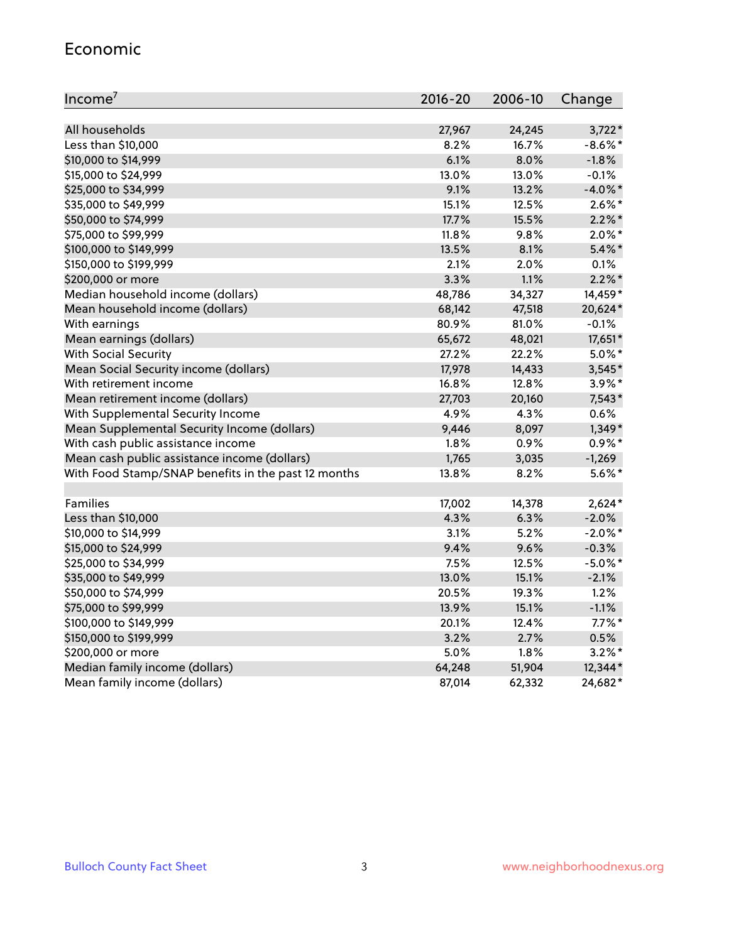#### Economic

| Income <sup>7</sup>                                 | 2016-20 | 2006-10 | Change     |
|-----------------------------------------------------|---------|---------|------------|
|                                                     |         |         |            |
| All households                                      | 27,967  | 24,245  | $3,722*$   |
| Less than \$10,000                                  | 8.2%    | 16.7%   | $-8.6\%$ * |
| \$10,000 to \$14,999                                | 6.1%    | 8.0%    | $-1.8%$    |
| \$15,000 to \$24,999                                | 13.0%   | 13.0%   | $-0.1%$    |
| \$25,000 to \$34,999                                | 9.1%    | 13.2%   | $-4.0\%$ * |
| \$35,000 to \$49,999                                | 15.1%   | 12.5%   | $2.6\%$ *  |
| \$50,000 to \$74,999                                | 17.7%   | 15.5%   | $2.2\%$ *  |
| \$75,000 to \$99,999                                | 11.8%   | 9.8%    | $2.0\%$ *  |
| \$100,000 to \$149,999                              | 13.5%   | 8.1%    | $5.4\%$ *  |
| \$150,000 to \$199,999                              | 2.1%    | 2.0%    | 0.1%       |
| \$200,000 or more                                   | 3.3%    | 1.1%    | $2.2\%$ *  |
| Median household income (dollars)                   | 48,786  | 34,327  | 14,459*    |
| Mean household income (dollars)                     | 68,142  | 47,518  | 20,624*    |
| With earnings                                       | 80.9%   | 81.0%   | $-0.1%$    |
| Mean earnings (dollars)                             | 65,672  | 48,021  | 17,651*    |
| <b>With Social Security</b>                         | 27.2%   | 22.2%   | $5.0\%$ *  |
| Mean Social Security income (dollars)               | 17,978  | 14,433  | 3,545*     |
| With retirement income                              | 16.8%   | 12.8%   | $3.9\%$ *  |
| Mean retirement income (dollars)                    | 27,703  | 20,160  | $7,543*$   |
| With Supplemental Security Income                   | 4.9%    | 4.3%    | 0.6%       |
| Mean Supplemental Security Income (dollars)         | 9,446   | 8,097   | $1,349*$   |
| With cash public assistance income                  | 1.8%    | 0.9%    | $0.9\% *$  |
| Mean cash public assistance income (dollars)        | 1,765   | 3,035   | $-1,269$   |
| With Food Stamp/SNAP benefits in the past 12 months | 13.8%   | 8.2%    | $5.6\%$ *  |
|                                                     |         |         |            |
| Families                                            | 17,002  | 14,378  | $2,624*$   |
| Less than \$10,000                                  | 4.3%    | 6.3%    | $-2.0%$    |
| \$10,000 to \$14,999                                | 3.1%    | 5.2%    | $-2.0\%$ * |
| \$15,000 to \$24,999                                | 9.4%    | 9.6%    | $-0.3%$    |
| \$25,000 to \$34,999                                | 7.5%    | 12.5%   | $-5.0\%$ * |
| \$35,000 to \$49,999                                | 13.0%   | 15.1%   | $-2.1%$    |
| \$50,000 to \$74,999                                | 20.5%   | 19.3%   | 1.2%       |
| \$75,000 to \$99,999                                | 13.9%   | 15.1%   | $-1.1%$    |
| \$100,000 to \$149,999                              | 20.1%   | 12.4%   | $7.7\%$ *  |
| \$150,000 to \$199,999                              | 3.2%    | 2.7%    | 0.5%       |
| \$200,000 or more                                   | 5.0%    | 1.8%    | $3.2\%$ *  |
| Median family income (dollars)                      | 64,248  | 51,904  | 12,344*    |
| Mean family income (dollars)                        | 87,014  | 62,332  | 24,682*    |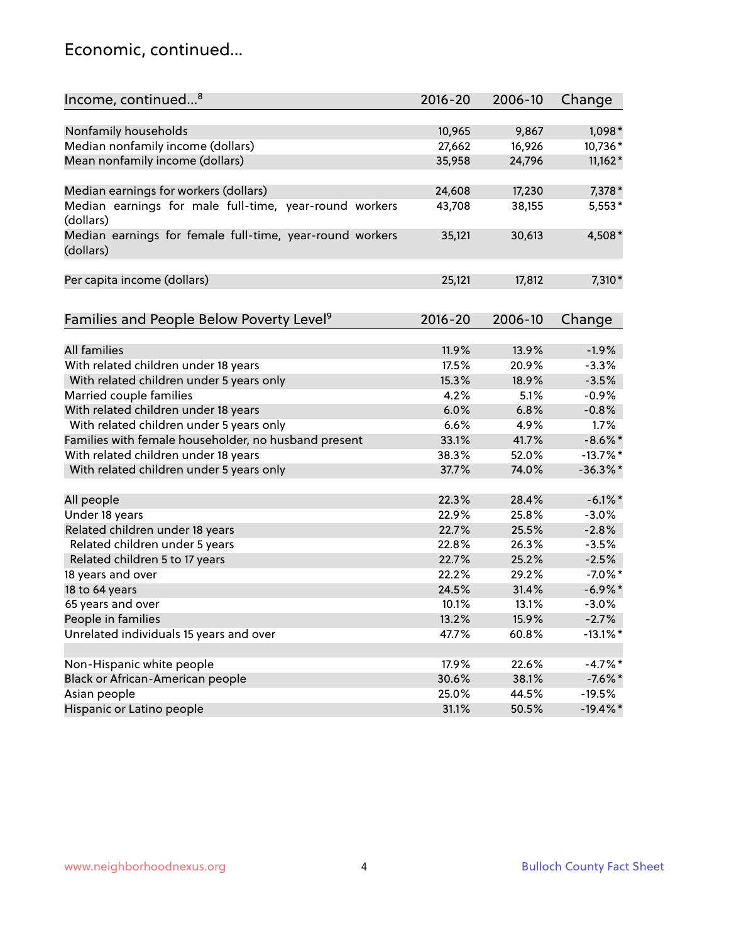### Economic, continued...

| Income, continued <sup>8</sup>                                        | $2016 - 20$ | 2006-10 | Change      |
|-----------------------------------------------------------------------|-------------|---------|-------------|
|                                                                       |             |         |             |
| Nonfamily households                                                  | 10,965      | 9,867   | $1,098*$    |
| Median nonfamily income (dollars)                                     | 27,662      | 16,926  | 10,736*     |
| Mean nonfamily income (dollars)                                       | 35,958      | 24,796  | $11,162*$   |
| Median earnings for workers (dollars)                                 | 24,608      | 17,230  | 7,378 *     |
| Median earnings for male full-time, year-round workers                | 43,708      | 38,155  | $5,553*$    |
| (dollars)                                                             |             |         |             |
| Median earnings for female full-time, year-round workers<br>(dollars) | 35,121      | 30,613  | 4,508*      |
| Per capita income (dollars)                                           | 25,121      | 17,812  | 7,310*      |
|                                                                       |             |         |             |
| Families and People Below Poverty Level <sup>9</sup>                  | 2016-20     | 2006-10 | Change      |
|                                                                       |             |         |             |
| All families                                                          | 11.9%       | 13.9%   | $-1.9%$     |
| With related children under 18 years                                  | 17.5%       | 20.9%   | $-3.3%$     |
| With related children under 5 years only                              | 15.3%       | 18.9%   | $-3.5%$     |
| Married couple families                                               | 4.2%        | 5.1%    | $-0.9%$     |
| With related children under 18 years                                  | 6.0%        | 6.8%    | $-0.8%$     |
| With related children under 5 years only                              | 6.6%        | 4.9%    | 1.7%        |
| Families with female householder, no husband present                  | 33.1%       | 41.7%   | $-8.6\%$ *  |
| With related children under 18 years                                  | 38.3%       | 52.0%   | $-13.7%$ *  |
| With related children under 5 years only                              | 37.7%       | 74.0%   | $-36.3%$ *  |
| All people                                                            | 22.3%       | 28.4%   | $-6.1\%$ *  |
| Under 18 years                                                        | 22.9%       | 25.8%   | $-3.0%$     |
| Related children under 18 years                                       | 22.7%       | 25.5%   | $-2.8%$     |
| Related children under 5 years                                        | 22.8%       | 26.3%   | $-3.5%$     |
| Related children 5 to 17 years                                        | 22.7%       | 25.2%   | $-2.5%$     |
| 18 years and over                                                     | 22.2%       | 29.2%   | $-7.0\%$ *  |
| 18 to 64 years                                                        | 24.5%       | 31.4%   | $-6.9\%$ *  |
| 65 years and over                                                     | 10.1%       | 13.1%   | $-3.0%$     |
| People in families                                                    | 13.2%       | 15.9%   | $-2.7%$     |
| Unrelated individuals 15 years and over                               | 47.7%       | 60.8%   | $-13.1\%$ * |
|                                                                       |             |         |             |
| Non-Hispanic white people                                             | 17.9%       | 22.6%   | $-4.7%$ *   |
| Black or African-American people                                      | 30.6%       | 38.1%   | $-7.6%$ *   |
| Asian people                                                          | 25.0%       | 44.5%   | $-19.5%$    |
| Hispanic or Latino people                                             | 31.1%       | 50.5%   | $-19.4\%$ * |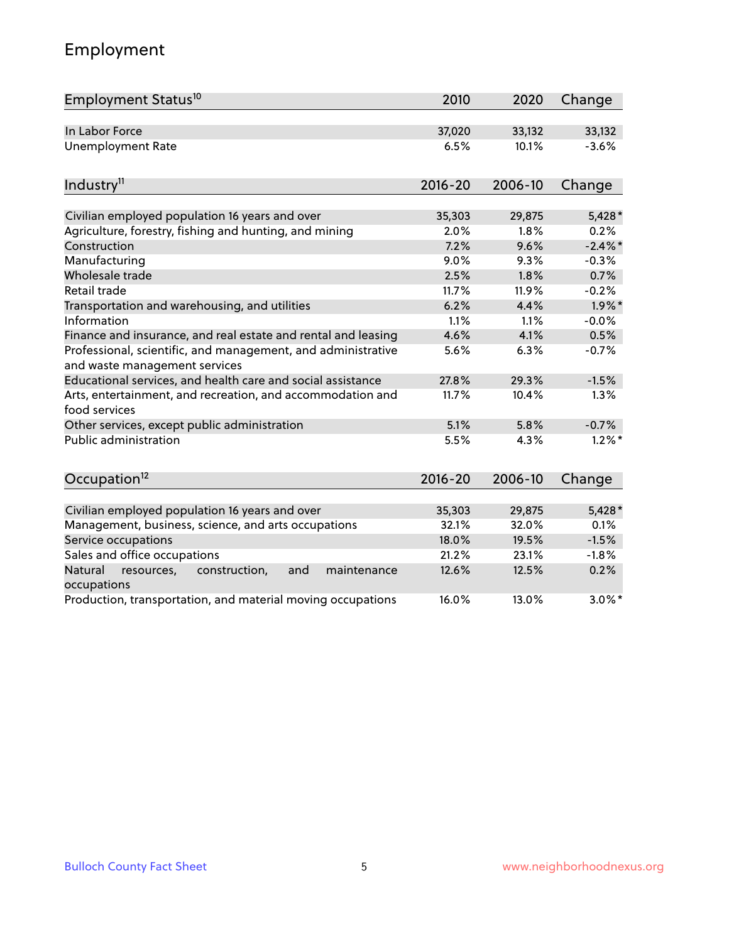# Employment

| Employment Status <sup>10</sup>                                                               | 2010        | 2020    | Change     |
|-----------------------------------------------------------------------------------------------|-------------|---------|------------|
| In Labor Force                                                                                | 37,020      | 33,132  | 33,132     |
| <b>Unemployment Rate</b>                                                                      | 6.5%        | 10.1%   | $-3.6%$    |
| Industry <sup>11</sup>                                                                        | $2016 - 20$ | 2006-10 | Change     |
| Civilian employed population 16 years and over                                                | 35,303      | 29,875  | $5,428*$   |
| Agriculture, forestry, fishing and hunting, and mining                                        | 2.0%        | 1.8%    | 0.2%       |
| Construction                                                                                  | 7.2%        | 9.6%    | $-2.4\%$ * |
| Manufacturing                                                                                 | 9.0%        | 9.3%    | $-0.3%$    |
| Wholesale trade                                                                               | 2.5%        | 1.8%    | 0.7%       |
| Retail trade                                                                                  | 11.7%       | 11.9%   | $-0.2%$    |
| Transportation and warehousing, and utilities                                                 | 6.2%        | 4.4%    | $1.9\%$ *  |
| Information                                                                                   | 1.1%        | 1.1%    | $-0.0%$    |
| Finance and insurance, and real estate and rental and leasing                                 | 4.6%        | 4.1%    | 0.5%       |
| Professional, scientific, and management, and administrative<br>and waste management services | 5.6%        | 6.3%    | $-0.7%$    |
| Educational services, and health care and social assistance                                   | 27.8%       | 29.3%   | $-1.5%$    |
| Arts, entertainment, and recreation, and accommodation and<br>food services                   | 11.7%       | 10.4%   | 1.3%       |
| Other services, except public administration                                                  | 5.1%        | 5.8%    | $-0.7%$    |
| Public administration                                                                         | 5.5%        | 4.3%    | $1.2\%$ *  |
| Occupation <sup>12</sup>                                                                      | $2016 - 20$ | 2006-10 | Change     |
|                                                                                               |             |         |            |
| Civilian employed population 16 years and over                                                | 35,303      | 29,875  | $5,428*$   |
| Management, business, science, and arts occupations                                           | 32.1%       | 32.0%   | 0.1%       |
| Service occupations                                                                           | 18.0%       | 19.5%   | $-1.5%$    |
| Sales and office occupations                                                                  | 21.2%       | 23.1%   | $-1.8%$    |
| Natural<br>resources,<br>construction,<br>maintenance<br>and<br>occupations                   | 12.6%       | 12.5%   | 0.2%       |
| Production, transportation, and material moving occupations                                   | 16.0%       | 13.0%   | $3.0\%$ *  |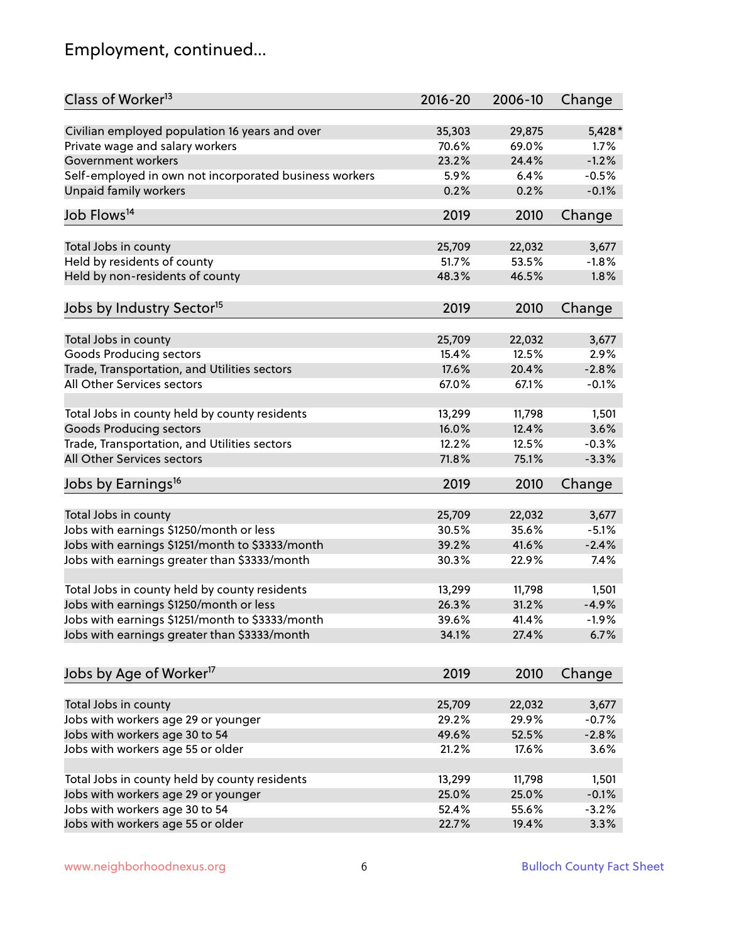# Employment, continued...

| Class of Worker <sup>13</sup>                          | $2016 - 20$ | 2006-10 | Change   |
|--------------------------------------------------------|-------------|---------|----------|
| Civilian employed population 16 years and over         | 35,303      | 29,875  | $5,428*$ |
| Private wage and salary workers                        | 70.6%       | 69.0%   | $1.7\%$  |
| Government workers                                     | 23.2%       | 24.4%   | $-1.2%$  |
| Self-employed in own not incorporated business workers | 5.9%        | 6.4%    | $-0.5%$  |
| Unpaid family workers                                  | 0.2%        | 0.2%    | $-0.1%$  |
| Job Flows <sup>14</sup>                                | 2019        | 2010    | Change   |
|                                                        |             |         |          |
| Total Jobs in county                                   | 25,709      | 22,032  | 3,677    |
| Held by residents of county                            | 51.7%       | 53.5%   | $-1.8%$  |
| Held by non-residents of county                        | 48.3%       | 46.5%   | 1.8%     |
| Jobs by Industry Sector <sup>15</sup>                  | 2019        | 2010    | Change   |
| Total Jobs in county                                   | 25,709      | 22,032  | 3,677    |
| Goods Producing sectors                                | 15.4%       | 12.5%   | 2.9%     |
| Trade, Transportation, and Utilities sectors           | 17.6%       | 20.4%   | $-2.8%$  |
| All Other Services sectors                             | 67.0%       | 67.1%   | $-0.1%$  |
|                                                        |             |         |          |
| Total Jobs in county held by county residents          | 13,299      | 11,798  | 1,501    |
| <b>Goods Producing sectors</b>                         | 16.0%       | 12.4%   | 3.6%     |
| Trade, Transportation, and Utilities sectors           | 12.2%       | 12.5%   | $-0.3%$  |
| All Other Services sectors                             | 71.8%       | 75.1%   | $-3.3%$  |
| Jobs by Earnings <sup>16</sup>                         | 2019        | 2010    | Change   |
|                                                        |             |         |          |
| Total Jobs in county                                   | 25,709      | 22,032  | 3,677    |
| Jobs with earnings \$1250/month or less                | 30.5%       | 35.6%   | $-5.1%$  |
| Jobs with earnings \$1251/month to \$3333/month        | 39.2%       | 41.6%   | $-2.4%$  |
| Jobs with earnings greater than \$3333/month           | 30.3%       | 22.9%   | 7.4%     |
| Total Jobs in county held by county residents          | 13,299      | 11,798  | 1,501    |
| Jobs with earnings \$1250/month or less                | 26.3%       | 31.2%   | $-4.9%$  |
| Jobs with earnings \$1251/month to \$3333/month        | 39.6%       | 41.4%   | $-1.9\%$ |
| Jobs with earnings greater than \$3333/month           | 34.1%       | 27.4%   | 6.7%     |
| Jobs by Age of Worker <sup>17</sup>                    | 2019        | 2010    | Change   |
|                                                        |             |         |          |
| Total Jobs in county                                   | 25,709      | 22,032  | 3,677    |
| Jobs with workers age 29 or younger                    | 29.2%       | 29.9%   | $-0.7%$  |
| Jobs with workers age 30 to 54                         | 49.6%       | 52.5%   | $-2.8%$  |
| Jobs with workers age 55 or older                      | 21.2%       | 17.6%   | 3.6%     |
|                                                        |             |         |          |
| Total Jobs in county held by county residents          | 13,299      | 11,798  | 1,501    |
| Jobs with workers age 29 or younger                    | 25.0%       | 25.0%   | $-0.1%$  |
| Jobs with workers age 30 to 54                         | 52.4%       | 55.6%   | $-3.2%$  |
| Jobs with workers age 55 or older                      | 22.7%       | 19.4%   | 3.3%     |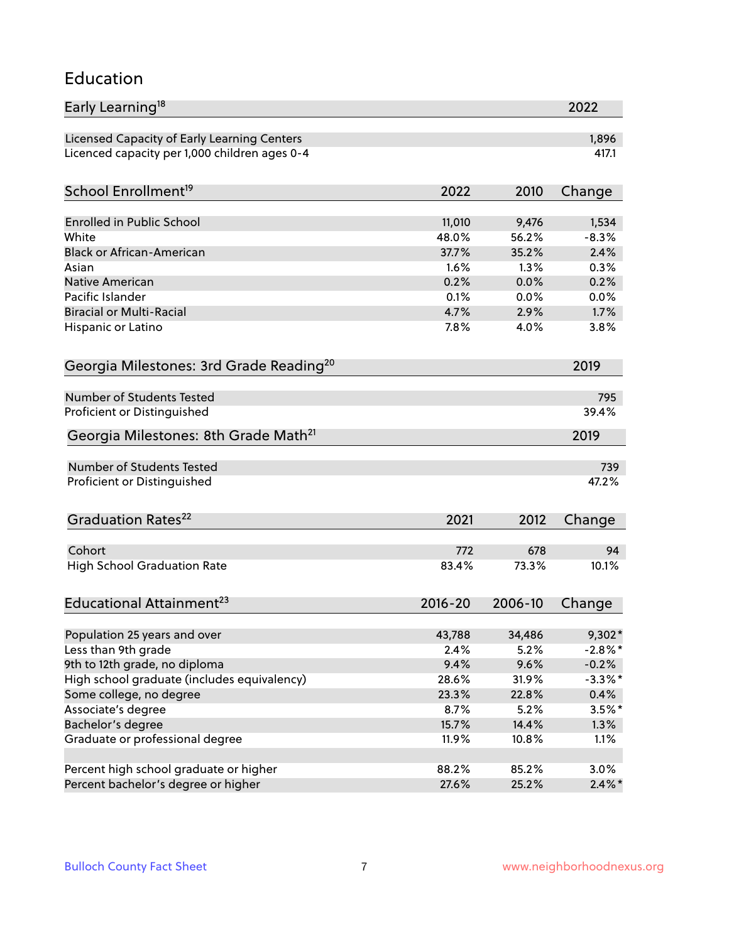#### Education

| Early Learning <sup>18</sup>                        |              |              | 2022       |
|-----------------------------------------------------|--------------|--------------|------------|
| Licensed Capacity of Early Learning Centers         |              |              | 1,896      |
| Licenced capacity per 1,000 children ages 0-4       |              |              | 417.1      |
| School Enrollment <sup>19</sup>                     | 2022         | 2010         | Change     |
|                                                     |              |              |            |
| <b>Enrolled in Public School</b>                    | 11,010       | 9,476        | 1,534      |
| White                                               | 48.0%        | 56.2%        | $-8.3%$    |
| <b>Black or African-American</b>                    | 37.7%        | 35.2%        | 2.4%       |
| Asian                                               | 1.6%         | 1.3%         | 0.3%       |
| Native American                                     | 0.2%         | 0.0%         | 0.2%       |
| Pacific Islander                                    | 0.1%         | 0.0%         | 0.0%       |
| <b>Biracial or Multi-Racial</b>                     | 4.7%         | 2.9%         | 1.7%       |
| Hispanic or Latino                                  | 7.8%         | 4.0%         | 3.8%       |
| Georgia Milestones: 3rd Grade Reading <sup>20</sup> |              |              | 2019       |
|                                                     |              |              |            |
| Number of Students Tested                           |              |              | 795        |
| Proficient or Distinguished                         |              |              | 39.4%      |
| Georgia Milestones: 8th Grade Math <sup>21</sup>    |              |              | 2019       |
| Number of Students Tested                           |              |              | 739        |
| Proficient or Distinguished                         |              |              | 47.2%      |
|                                                     |              |              |            |
| Graduation Rates <sup>22</sup>                      | 2021         | 2012         | Change     |
|                                                     |              |              |            |
| Cohort                                              | 772<br>83.4% | 678          | 94         |
| <b>High School Graduation Rate</b>                  |              | 73.3%        | 10.1%      |
| Educational Attainment <sup>23</sup>                | $2016 - 20$  | 2006-10      | Change     |
|                                                     |              |              |            |
| Population 25 years and over<br>Less than 9th grade | 43,788       | 34,486       | 9,302*     |
|                                                     | 2.4%         | 5.2%<br>9.6% | $-2.8\%$ * |
| 9th to 12th grade, no diploma                       | 9.4%         |              | $-0.2%$    |
| High school graduate (includes equivalency)         | 28.6%        | 31.9%        | $-3.3\%$ * |
| Some college, no degree                             | 23.3%        | 22.8%        | 0.4%       |
| Associate's degree                                  | 8.7%         | 5.2%         | $3.5%$ *   |
| Bachelor's degree                                   | 15.7%        | 14.4%        | 1.3%       |
| Graduate or professional degree                     | 11.9%        | 10.8%        | 1.1%       |
| Percent high school graduate or higher              | 88.2%        | 85.2%        | 3.0%       |
| Percent bachelor's degree or higher                 | 27.6%        | 25.2%        | $2.4\%$ *  |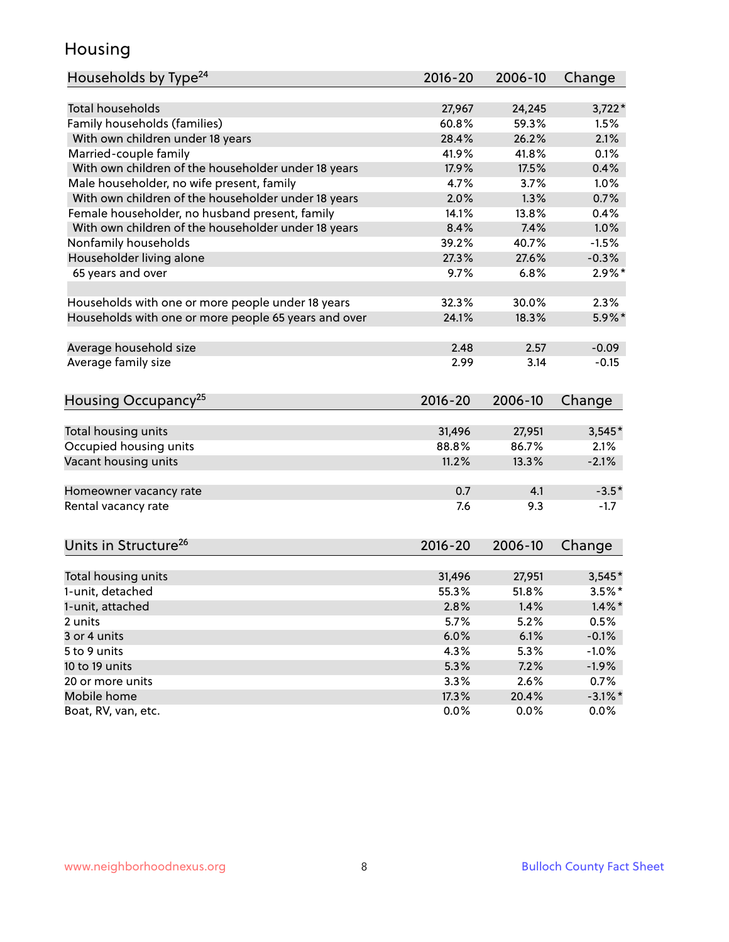### Housing

| Households by Type <sup>24</sup>                     | 2016-20     | 2006-10 | Change     |
|------------------------------------------------------|-------------|---------|------------|
|                                                      |             |         |            |
| Total households                                     | 27,967      | 24,245  | $3,722*$   |
| Family households (families)                         | 60.8%       | 59.3%   | 1.5%       |
| With own children under 18 years                     | 28.4%       | 26.2%   | 2.1%       |
| Married-couple family                                | 41.9%       | 41.8%   | 0.1%       |
| With own children of the householder under 18 years  | 17.9%       | 17.5%   | 0.4%       |
| Male householder, no wife present, family            | 4.7%        | 3.7%    | 1.0%       |
| With own children of the householder under 18 years  | 2.0%        | 1.3%    | 0.7%       |
| Female householder, no husband present, family       | 14.1%       | 13.8%   | 0.4%       |
| With own children of the householder under 18 years  | 8.4%        | 7.4%    | 1.0%       |
| Nonfamily households                                 | 39.2%       | 40.7%   | $-1.5%$    |
| Householder living alone                             | 27.3%       | 27.6%   | $-0.3%$    |
| 65 years and over                                    | 9.7%        | 6.8%    | $2.9\%$ *  |
|                                                      |             |         |            |
| Households with one or more people under 18 years    | 32.3%       | 30.0%   | 2.3%       |
| Households with one or more people 65 years and over | 24.1%       | 18.3%   | $5.9\%$ *  |
|                                                      |             |         |            |
| Average household size                               | 2.48        | 2.57    | $-0.09$    |
| Average family size                                  | 2.99        | 3.14    | $-0.15$    |
|                                                      |             |         |            |
| Housing Occupancy <sup>25</sup>                      | $2016 - 20$ | 2006-10 | Change     |
|                                                      |             |         |            |
| Total housing units                                  | 31,496      | 27,951  | $3,545*$   |
| Occupied housing units                               | 88.8%       | 86.7%   | 2.1%       |
| Vacant housing units                                 | 11.2%       | 13.3%   | $-2.1%$    |
|                                                      |             |         |            |
| Homeowner vacancy rate                               | 0.7         | 4.1     | $-3.5*$    |
| Rental vacancy rate                                  | 7.6         | 9.3     | $-1.7$     |
|                                                      |             |         |            |
| Units in Structure <sup>26</sup>                     |             |         |            |
|                                                      | $2016 - 20$ | 2006-10 | Change     |
| Total housing units                                  | 31,496      | 27,951  | $3,545*$   |
| 1-unit, detached                                     | 55.3%       | 51.8%   | $3.5%$ *   |
| 1-unit, attached                                     | 2.8%        | 1.4%    | $1.4\%$ *  |
| 2 units                                              | 5.7%        | 5.2%    | 0.5%       |
| 3 or 4 units                                         | 6.0%        | 6.1%    | $-0.1%$    |
| 5 to 9 units                                         | 4.3%        |         |            |
|                                                      |             | 5.3%    | $-1.0%$    |
| 10 to 19 units                                       | 5.3%        | 7.2%    | $-1.9%$    |
| 20 or more units                                     | 3.3%        | 2.6%    | 0.7%       |
| Mobile home                                          | 17.3%       | 20.4%   | $-3.1\%$ * |
| Boat, RV, van, etc.                                  | 0.0%        | 0.0%    | $0.0\%$    |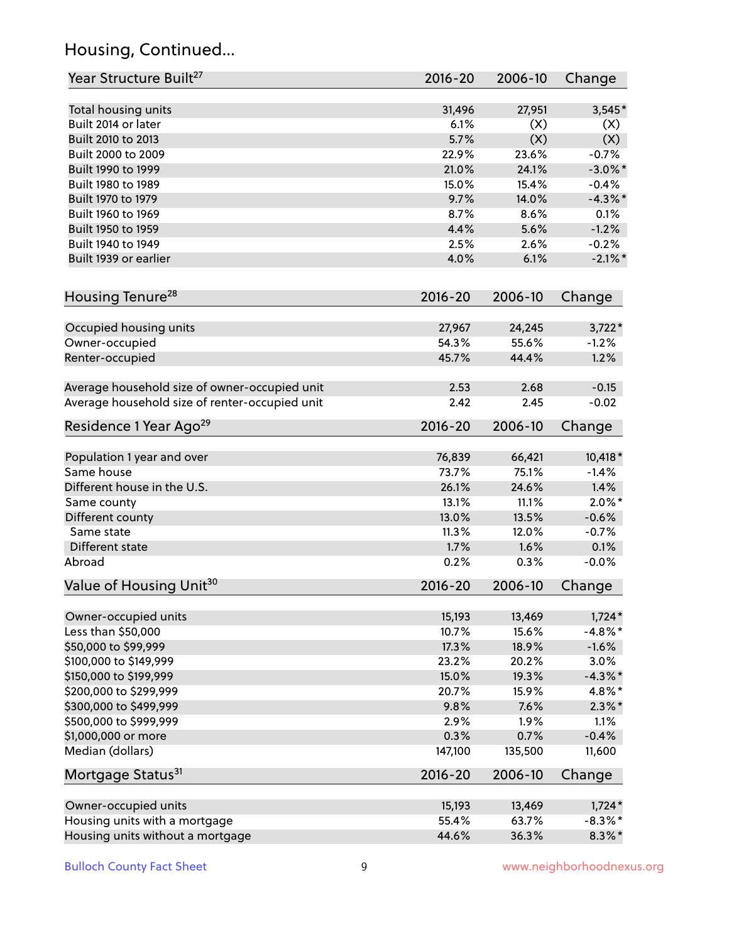# Housing, Continued...

| Year Structure Built <sup>27</sup>             | 2016-20        | 2006-10        | Change            |
|------------------------------------------------|----------------|----------------|-------------------|
| Total housing units                            | 31,496         | 27,951         | $3,545*$          |
| Built 2014 or later                            | 6.1%           | (X)            | (X)               |
| Built 2010 to 2013                             | 5.7%           | (X)            | (X)               |
| Built 2000 to 2009                             | 22.9%          | 23.6%          | $-0.7%$           |
| Built 1990 to 1999                             | 21.0%          | 24.1%          | $-3.0\%$ *        |
| Built 1980 to 1989                             | 15.0%          | 15.4%          | $-0.4%$           |
| Built 1970 to 1979                             | 9.7%           | 14.0%          | $-4.3\%$ *        |
| Built 1960 to 1969                             | 8.7%           | 8.6%           | 0.1%              |
| Built 1950 to 1959                             | 4.4%           | 5.6%           | $-1.2%$           |
| Built 1940 to 1949                             | 2.5%           | 2.6%           | $-0.2%$           |
| Built 1939 or earlier                          | 4.0%           | 6.1%           | $-2.1\%$ *        |
| Housing Tenure <sup>28</sup>                   | $2016 - 20$    | 2006-10        | Change            |
|                                                |                |                |                   |
| Occupied housing units                         | 27,967         | 24,245         | $3,722*$          |
| Owner-occupied                                 | 54.3%          | 55.6%          | $-1.2%$           |
| Renter-occupied                                | 45.7%          | 44.4%          | 1.2%              |
| Average household size of owner-occupied unit  | 2.53           | 2.68           | $-0.15$           |
| Average household size of renter-occupied unit | 2.42           | 2.45           | $-0.02$           |
| Residence 1 Year Ago <sup>29</sup>             | $2016 - 20$    | 2006-10        | Change            |
|                                                |                |                |                   |
| Population 1 year and over<br>Same house       | 76,839         | 66,421         | 10,418 *          |
|                                                | 73.7%          | 75.1%          | $-1.4%$           |
| Different house in the U.S.                    | 26.1%          | 24.6%          | 1.4%<br>$2.0\%$ * |
| Same county                                    | 13.1%          | 11.1%<br>13.5% | $-0.6%$           |
| Different county<br>Same state                 | 13.0%<br>11.3% | 12.0%          | $-0.7%$           |
| Different state                                | 1.7%           | 1.6%           | 0.1%              |
| Abroad                                         | 0.2%           | 0.3%           | $-0.0%$           |
| Value of Housing Unit <sup>30</sup>            | 2016-20        | 2006-10        | Change            |
|                                                |                |                |                   |
| Owner-occupied units                           | 15,193         | 13,469         | $1,724*$          |
| Less than \$50,000                             | 10.7%          | 15.6%          | $-4.8\%$ *        |
| \$50,000 to \$99,999                           | 17.3%          | 18.9%          | $-1.6%$           |
| \$100,000 to \$149,999                         | 23.2%          | 20.2%          | 3.0%              |
| \$150,000 to \$199,999                         | 15.0%          | 19.3%          | $-4.3\%$ *        |
| \$200,000 to \$299,999                         | 20.7%          | 15.9%          | 4.8%*             |
| \$300,000 to \$499,999                         | 9.8%           | 7.6%           | $2.3\%$ *         |
| \$500,000 to \$999,999                         | 2.9%           | 1.9%           | 1.1%              |
| \$1,000,000 or more                            | 0.3%           | 0.7%           | $-0.4%$           |
| Median (dollars)                               | 147,100        | 135,500        | 11,600            |
| Mortgage Status <sup>31</sup>                  | $2016 - 20$    | 2006-10        | Change            |
| Owner-occupied units                           | 15,193         | 13,469         | $1,724*$          |
| Housing units with a mortgage                  | 55.4%          | 63.7%          | $-8.3\%$ *        |
| Housing units without a mortgage               | 44.6%          | 36.3%          | $8.3\%$ *         |
|                                                |                |                |                   |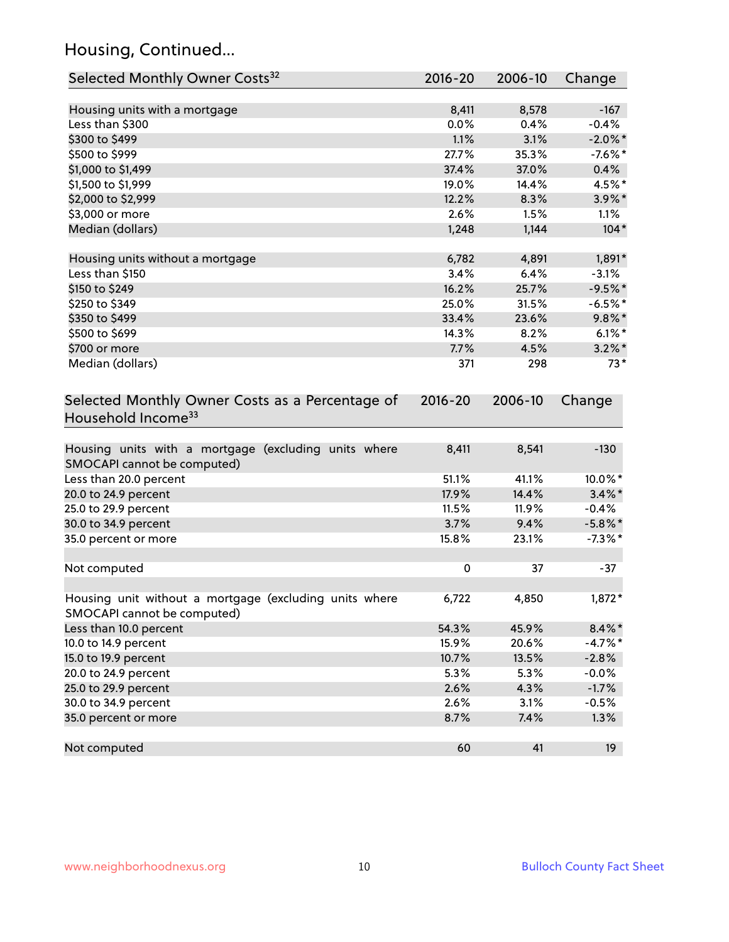# Housing, Continued...

| Selected Monthly Owner Costs <sup>32</sup>                                            | 2016-20   | 2006-10 | Change     |
|---------------------------------------------------------------------------------------|-----------|---------|------------|
| Housing units with a mortgage                                                         | 8,411     | 8,578   | $-167$     |
| Less than \$300                                                                       | 0.0%      | 0.4%    | $-0.4%$    |
| \$300 to \$499                                                                        | 1.1%      | 3.1%    | $-2.0\%$ * |
| \$500 to \$999                                                                        | 27.7%     | 35.3%   | $-7.6\%$ * |
| \$1,000 to \$1,499                                                                    | 37.4%     | 37.0%   | 0.4%       |
| \$1,500 to \$1,999                                                                    | 19.0%     | 14.4%   | 4.5%*      |
| \$2,000 to \$2,999                                                                    | 12.2%     | 8.3%    | $3.9\%$ *  |
| \$3,000 or more                                                                       | 2.6%      | 1.5%    | 1.1%       |
| Median (dollars)                                                                      | 1,248     | 1,144   | $104*$     |
| Housing units without a mortgage                                                      | 6,782     | 4,891   | 1,891*     |
| Less than \$150                                                                       | 3.4%      | 6.4%    | $-3.1%$    |
| \$150 to \$249                                                                        | 16.2%     | 25.7%   | $-9.5%$ *  |
| \$250 to \$349                                                                        | 25.0%     | 31.5%   | $-6.5%$ *  |
| \$350 to \$499                                                                        | 33.4%     | 23.6%   | $9.8\%$ *  |
| \$500 to \$699                                                                        | 14.3%     | 8.2%    | $6.1\%$ *  |
| \$700 or more                                                                         | 7.7%      | 4.5%    | $3.2\%$ *  |
| Median (dollars)                                                                      | 371       | 298     | $73*$      |
| Selected Monthly Owner Costs as a Percentage of<br>Household Income <sup>33</sup>     |           |         | Change     |
| Housing units with a mortgage (excluding units where<br>SMOCAPI cannot be computed)   | 8,411     | 8,541   | $-130$     |
| Less than 20.0 percent                                                                | 51.1%     | 41.1%   | 10.0%*     |
| 20.0 to 24.9 percent                                                                  | 17.9%     | 14.4%   | $3.4\%$ *  |
| 25.0 to 29.9 percent                                                                  | 11.5%     | 11.9%   | $-0.4%$    |
| 30.0 to 34.9 percent                                                                  | 3.7%      | 9.4%    | $-5.8\%$ * |
| 35.0 percent or more                                                                  | 15.8%     | 23.1%   | $-7.3\%$ * |
| Not computed                                                                          | $\pmb{0}$ | 37      | $-37$      |
| Housing unit without a mortgage (excluding units where<br>SMOCAPI cannot be computed) | 6,722     | 4,850   | $1,872*$   |
| Less than 10.0 percent                                                                | 54.3%     | 45.9%   | $8.4\% *$  |
| 10.0 to 14.9 percent                                                                  | 15.9%     | 20.6%   | $-4.7%$ *  |
| 15.0 to 19.9 percent                                                                  | 10.7%     | 13.5%   | $-2.8%$    |
| 20.0 to 24.9 percent                                                                  | 5.3%      | 5.3%    | $-0.0%$    |
| 25.0 to 29.9 percent                                                                  | 2.6%      | 4.3%    | $-1.7%$    |
| 30.0 to 34.9 percent                                                                  | 2.6%      | 3.1%    | $-0.5%$    |
| 35.0 percent or more                                                                  | 8.7%      | 7.4%    | 1.3%       |
| Not computed                                                                          | 60        | 41      | 19         |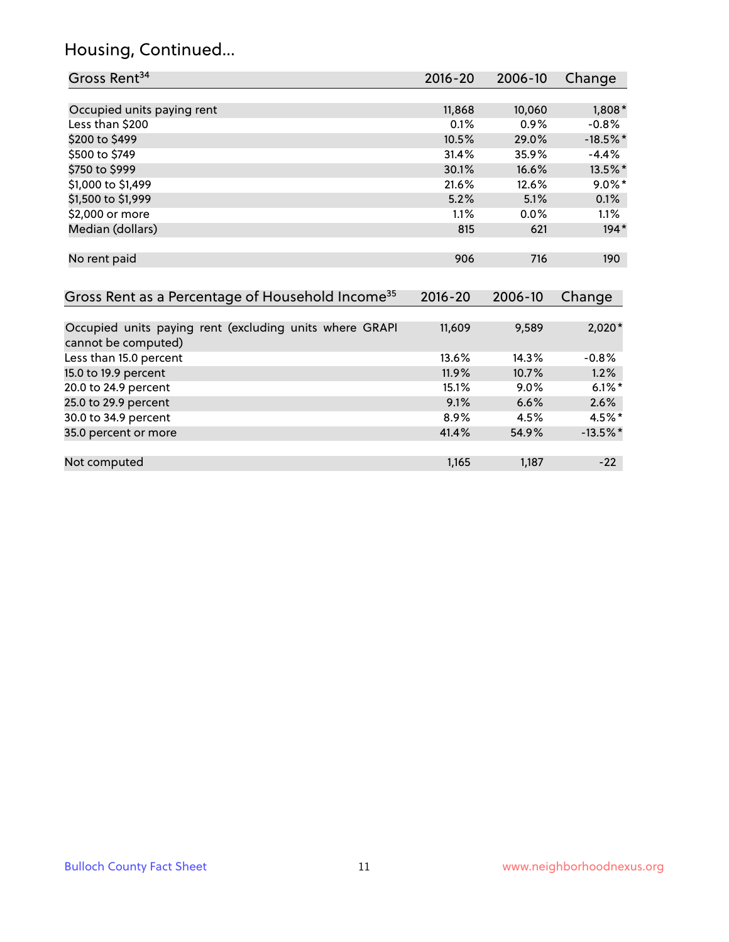# Housing, Continued...

| Gross Rent <sup>34</sup>                                                       | 2016-20     | 2006-10 | Change      |
|--------------------------------------------------------------------------------|-------------|---------|-------------|
|                                                                                |             |         |             |
| Occupied units paying rent                                                     | 11,868      | 10,060  | $1,808*$    |
| Less than \$200                                                                | 0.1%        | 0.9%    | $-0.8%$     |
| \$200 to \$499                                                                 | 10.5%       | 29.0%   | $-18.5\%$ * |
| \$500 to \$749                                                                 | 31.4%       | 35.9%   | $-4.4%$     |
| \$750 to \$999                                                                 | 30.1%       | 16.6%   | 13.5%*      |
| \$1,000 to \$1,499                                                             | 21.6%       | 12.6%   | $9.0\%$ *   |
| \$1,500 to \$1,999                                                             | 5.2%        | 5.1%    | 0.1%        |
| \$2,000 or more                                                                | 1.1%        | $0.0\%$ | 1.1%        |
| Median (dollars)                                                               | 815         | 621     | $194*$      |
| No rent paid                                                                   | 906         | 716     | 190         |
| Gross Rent as a Percentage of Household Income <sup>35</sup>                   | $2016 - 20$ | 2006-10 | Change      |
| Occupied units paying rent (excluding units where GRAPI<br>cannot be computed) | 11,609      | 9,589   | $2,020*$    |
| Less than 15.0 percent                                                         | 13.6%       | 14.3%   | $-0.8%$     |
| 15.0 to 19.9 percent                                                           | 11.9%       | 10.7%   | 1.2%        |
| 20.0 to 24.9 percent                                                           | 15.1%       | 9.0%    | $6.1\%$ *   |
| 25.0 to 29.9 percent                                                           | 9.1%        | 6.6%    | 2.6%        |
| 30.0 to 34.9 percent                                                           | 8.9%        | 4.5%    | 4.5%*       |
| 35.0 percent or more                                                           | 41.4%       | 54.9%   | $-13.5\%$ * |
| Not computed                                                                   | 1,165       | 1,187   | $-22$       |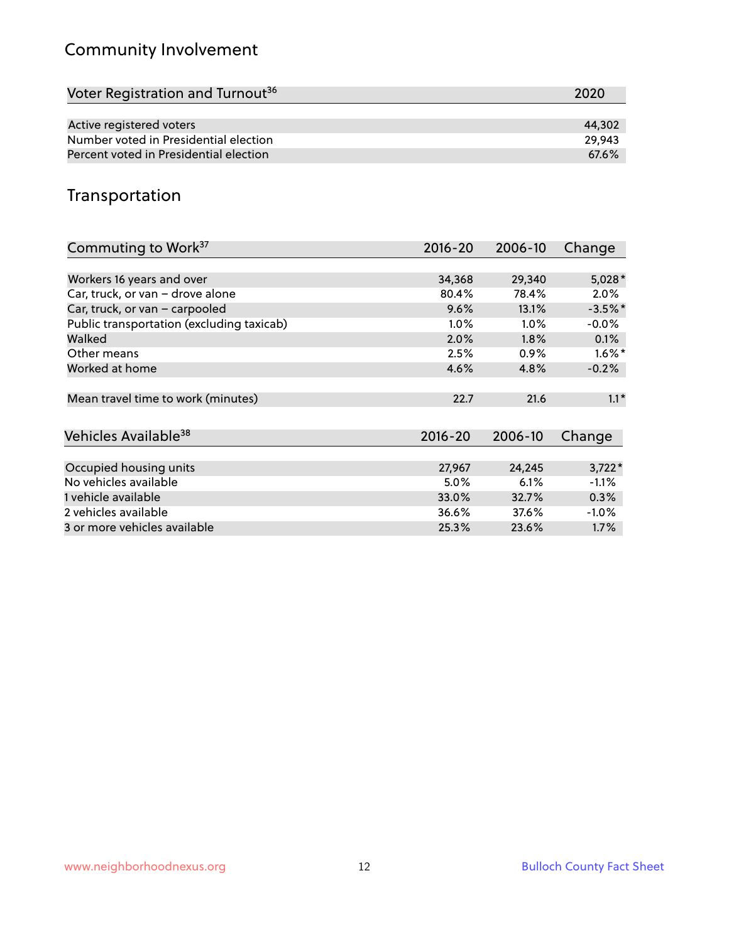# Community Involvement

| Voter Registration and Turnout <sup>36</sup> | 2020   |
|----------------------------------------------|--------|
|                                              |        |
| Active registered voters                     | 44,302 |
| Number voted in Presidential election        | 29.943 |
| Percent voted in Presidential election       | 67.6%  |

## Transportation

| Commuting to Work <sup>37</sup>           | 2016-20     | 2006-10 | Change    |
|-------------------------------------------|-------------|---------|-----------|
|                                           |             |         |           |
| Workers 16 years and over                 | 34,368      | 29,340  | $5,028*$  |
| Car, truck, or van - drove alone          | 80.4%       | 78.4%   | $2.0\%$   |
| Car, truck, or van - carpooled            | 9.6%        | 13.1%   | $-3.5%$ * |
| Public transportation (excluding taxicab) | 1.0%        | $1.0\%$ | $-0.0%$   |
| Walked                                    | 2.0%        | $1.8\%$ | 0.1%      |
| Other means                               | 2.5%        | $0.9\%$ | $1.6\%$ * |
| Worked at home                            | 4.6%        | 4.8%    | $-0.2%$   |
| Mean travel time to work (minutes)        | 22.7        | 21.6    | $1.1*$    |
| Vehicles Available <sup>38</sup>          | $2016 - 20$ | 2006-10 | Change    |
|                                           |             |         |           |
| Occupied housing units                    | 27,967      | 24,245  | $3,722*$  |
| No vehicles available                     | 5.0%        | 6.1%    | $-1.1%$   |
| 1 vehicle available                       | 33.0%       | 32.7%   | 0.3%      |
| 2 vehicles available                      | 36.6%       | 37.6%   | $-1.0%$   |
| 3 or more vehicles available              | 25.3%       | 23.6%   | $1.7\%$   |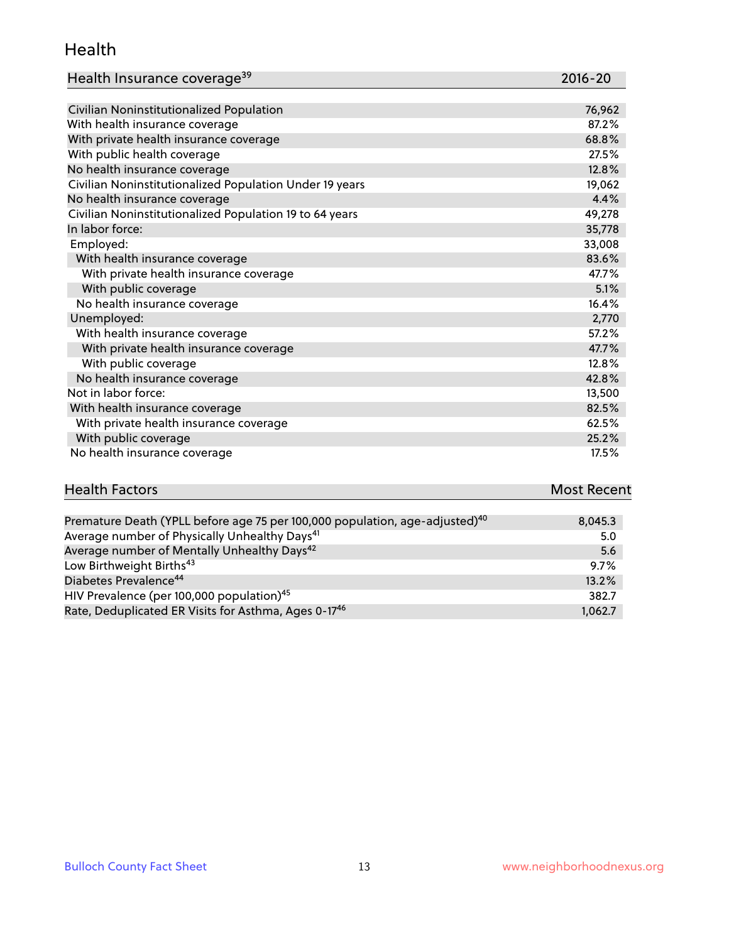#### Health

| Health Insurance coverage <sup>39</sup> | 2016-20 |
|-----------------------------------------|---------|
|-----------------------------------------|---------|

| Civilian Noninstitutionalized Population                | 76,962 |
|---------------------------------------------------------|--------|
| With health insurance coverage                          | 87.2%  |
| With private health insurance coverage                  | 68.8%  |
| With public health coverage                             | 27.5%  |
| No health insurance coverage                            | 12.8%  |
| Civilian Noninstitutionalized Population Under 19 years | 19,062 |
| No health insurance coverage                            | 4.4%   |
| Civilian Noninstitutionalized Population 19 to 64 years | 49,278 |
| In labor force:                                         | 35,778 |
| Employed:                                               | 33,008 |
| With health insurance coverage                          | 83.6%  |
| With private health insurance coverage                  | 47.7%  |
| With public coverage                                    | 5.1%   |
| No health insurance coverage                            | 16.4%  |
| Unemployed:                                             | 2,770  |
| With health insurance coverage                          | 57.2%  |
| With private health insurance coverage                  | 47.7%  |
| With public coverage                                    | 12.8%  |
| No health insurance coverage                            | 42.8%  |
| Not in labor force:                                     | 13,500 |
| With health insurance coverage                          | 82.5%  |
| With private health insurance coverage                  | 62.5%  |
| With public coverage                                    | 25.2%  |
| No health insurance coverage                            | 17.5%  |

| <b>Health Factors</b>                                                                   | <b>Most Recent</b> |
|-----------------------------------------------------------------------------------------|--------------------|
|                                                                                         |                    |
| Premature Death (YPLL before age 75 per 100,000 population, age-adjusted) <sup>40</sup> | 8.045.3            |
| Average number of Physically Unhealthy Days <sup>41</sup>                               | 5.0                |

| Average Hamper or Frigateany Ormeanity Bays                      | $\sim\sim$ |
|------------------------------------------------------------------|------------|
| Average number of Mentally Unhealthy Days <sup>42</sup>          | 5.6        |
| Low Birthweight Births <sup>43</sup>                             | $9.7\%$    |
| Diabetes Prevalence <sup>44</sup>                                | 13.2%      |
| HIV Prevalence (per 100,000 population) <sup>45</sup>            | 382.7      |
| Rate, Deduplicated ER Visits for Asthma, Ages 0-17 <sup>46</sup> | 1.062.7    |